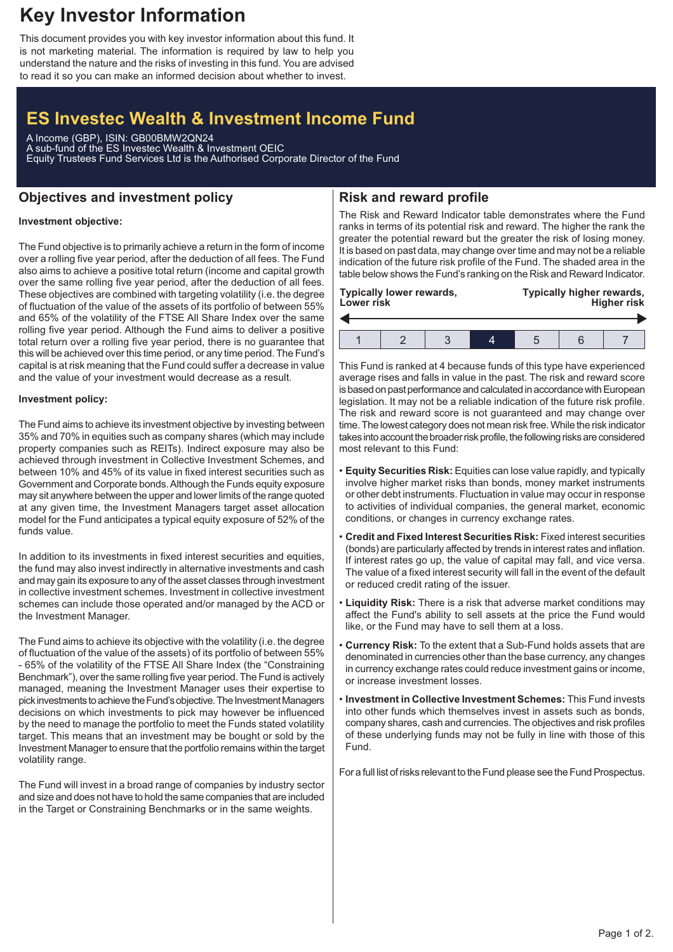# **Key Investor Information**

This document provides you with key investor information about this fund. It is not marketing material. The information is required by law to help you understand the nature and the risks of investing in this fund. You are advised to read it so you can make an informed decision about whether to invest.

# **ES Investec Wealth & Investment Income Fund**

A Income (GBP), ISIN: GB00BMW2QN24 A sub-fund of the ES Investec Wealth & Investment OEIC Equity Trustees Fund Services Ltd is the Authorised Corporate Director of the Fund

## **Objectives and investment policy**

# **Risk and reward profile**

#### **Investment objective:**

The Fund objective is to primarily achieve a return in the form of income over a rolling five year period, after the deduction of all fees. The Fund also aims to achieve a positive total return (income and capital growth over the same rolling five year period, after the deduction of all fees. These objectives are combined with targeting volatility (i.e. the degree of fluctuation of the value of the assets of its portfolio of between 55% and 65% of the volatility of the FTSE All Share Index over the same rolling five year period. Although the Fund aims to deliver a positive total return over a rolling five year period, there is no guarantee that this will be achieved over this time period, or any time period. The Fund's capital is at risk meaning that the Fund could suffer a decrease in value and the value of your investment would decrease as a result.

#### **Investment policy:**

The Fund aims to achieve its investment objective by investing between 35% and 70% in equities such as company shares (which may include property companies such as REITs). Indirect exposure may also be achieved through investment in Collective Investment Schemes, and between 10% and 45% of its value in fixed interest securities such as Government and Corporate bonds.Although the Funds equity exposure may sit anywhere between the upper and lower limits of the range quoted at any given time, the Investment Managers target asset allocation model for the Fund anticipates a typical equity exposure of 52% of the funds value.

In addition to its investments in fixed interest securities and equities, the fund may also invest indirectly in alternative investments and cash and may gain its exposure to any of the asset classes through investment in collective investment schemes. Investment in collective investment schemes can include those operated and/or managed by the ACD or the Investment Manager.

The Fund aims to achieve its objective with the volatility (i.e. the degree of fluctuation of the value of the assets) of its portfolio of between 55% - 65% of the volatility of the FTSE All Share Index (the "Constraining Benchmark"), over the same rolling five year period. The Fund is actively managed, meaning the Investment Manager uses their expertise to pick investments to achieve the Fund's objective. The Investment Managers decisions on which investments to pick may however be influenced by the need to manage the portfolio to meet the Funds stated volatility target. This means that an investment may be bought or sold by the Investment Manager to ensure that the portfolio remains within the target volatility range.

The Fund will invest in a broad range of companies by industry sector and size and does not have to hold the same companies that are included in the Target or Constraining Benchmarks or in the same weights.

The Risk and Reward Indicator table demonstrates where the Fund ranks in terms of its potential risk and reward. The higher the rank the greater the potential reward but the greater the risk of losing money. It is based on past data, may change over time and may not be a reliable indication of the future risk profile of the Fund. The shaded area in the table below shows the Fund's ranking on the Risk and Reward Indicator.

| <b>Typically lower rewards,</b><br>Lower risk |  |  |  | Typically higher rewards,<br><b>Higher risk</b> |  |  |  |
|-----------------------------------------------|--|--|--|-------------------------------------------------|--|--|--|
|                                               |  |  |  |                                                 |  |  |  |
|                                               |  |  |  |                                                 |  |  |  |

This Fund is ranked at 4 because funds of this type have experienced average rises and falls in value in the past. The risk and reward score is based on past performance and calculated in accordance with European legislation. It may not be a reliable indication of the future risk profile. The risk and reward score is not guaranteed and may change over time. The lowest category does not mean risk free.While the risk indicator takes into account the broader risk profile, the following risks are considered most relevant to this Fund:

- **Equity Securities Risk:** Equities can lose value rapidly, and typically involve higher market risks than bonds, money market instruments or other debt instruments. Fluctuation in value may occur in response to activities of individual companies, the general market, economic conditions, or changes in currency exchange rates.
- **Credit and Fixed Interest Securities Risk:** Fixed interest securities (bonds) are particularly affected by trends in interest rates and inflation. If interest rates go up, the value of capital may fall, and vice versa. The value of a fixed interest security will fall in the event of the default or reduced credit rating of the issuer.
- **Liquidity Risk:** There is a risk that adverse market conditions may affect the Fund's ability to sell assets at the price the Fund would like, or the Fund may have to sell them at a loss.
- **Currency Risk:** To the extent that a Sub-Fund holds assets that are denominated in currencies other than the base currency, any changes in currency exchange rates could reduce investment gains or income, or increase investment losses.
- **Investment in Collective Investment Schemes:** This Fund invests into other funds which themselves invest in assets such as bonds, company shares, cash and currencies. The objectives and risk profiles of these underlying funds may not be fully in line with those of this Fund.

For a full list of risks relevant to the Fund please see the Fund Prospectus.